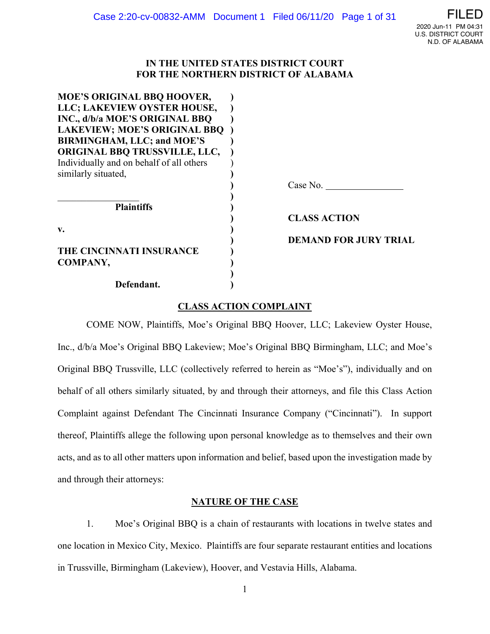## **IN THE UNITED STATES DISTRICT COURT FOR THE NORTHERN DISTRICT OF ALABAMA**

| <b>MOE'S ORIGINAL BBO HOOVER,</b>        |                              |
|------------------------------------------|------------------------------|
| LLC; LAKEVIEW OYSTER HOUSE,              |                              |
| INC., d/b/a MOE'S ORIGINAL BBQ           |                              |
| <b>LAKEVIEW; MOE'S ORIGINAL BBQ</b>      |                              |
| <b>BIRMINGHAM, LLC; and MOE'S</b>        |                              |
| <b>ORIGINAL BBQ TRUSSVILLE, LLC,</b>     |                              |
| Individually and on behalf of all others |                              |
| similarly situated,                      |                              |
|                                          | Case No.                     |
|                                          |                              |
| <b>Plaintiffs</b>                        |                              |
|                                          | <b>CLASS ACTION</b>          |
| v.                                       |                              |
|                                          | <b>DEMAND FOR JURY TRIAL</b> |
| THE CINCINNATI INSURANCE                 |                              |
| COMPANY,                                 |                              |
|                                          |                              |
| Defendant.                               |                              |

## **CLASS ACTION COMPLAINT**

 COME NOW, Plaintiffs, Moe's Original BBQ Hoover, LLC; Lakeview Oyster House, Inc., d/b/a Moe's Original BBQ Lakeview; Moe's Original BBQ Birmingham, LLC; and Moe's Original BBQ Trussville, LLC (collectively referred to herein as "Moe's"), individually and on behalf of all others similarly situated, by and through their attorneys, and file this Class Action Complaint against Defendant The Cincinnati Insurance Company ("Cincinnati"). In support thereof, Plaintiffs allege the following upon personal knowledge as to themselves and their own acts, and as to all other matters upon information and belief, based upon the investigation made by and through their attorneys:

## **NATURE OF THE CASE**

1. Moe's Original BBQ is a chain of restaurants with locations in twelve states and one location in Mexico City, Mexico. Plaintiffs are four separate restaurant entities and locations in Trussville, Birmingham (Lakeview), Hoover, and Vestavia Hills, Alabama.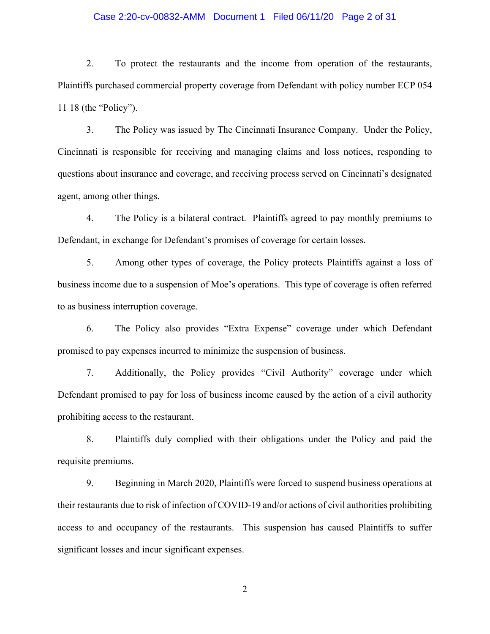### Case 2:20-cv-00832-AMM Document 1 Filed 06/11/20 Page 2 of 31

2. To protect the restaurants and the income from operation of the restaurants, Plaintiffs purchased commercial property coverage from Defendant with policy number ECP 054 11 18 (the "Policy").

3. The Policy was issued by The Cincinnati Insurance Company. Under the Policy, Cincinnati is responsible for receiving and managing claims and loss notices, responding to questions about insurance and coverage, and receiving process served on Cincinnati's designated agent, among other things.

4. The Policy is a bilateral contract. Plaintiffs agreed to pay monthly premiums to Defendant, in exchange for Defendant's promises of coverage for certain losses.

5. Among other types of coverage, the Policy protects Plaintiffs against a loss of business income due to a suspension of Moe's operations. This type of coverage is often referred to as business interruption coverage.

6. The Policy also provides "Extra Expense" coverage under which Defendant promised to pay expenses incurred to minimize the suspension of business.

7. Additionally, the Policy provides "Civil Authority" coverage under which Defendant promised to pay for loss of business income caused by the action of a civil authority prohibiting access to the restaurant.

8. Plaintiffs duly complied with their obligations under the Policy and paid the requisite premiums.

9. Beginning in March 2020, Plaintiffs were forced to suspend business operations at their restaurants due to risk of infection of COVID-19 and/or actions of civil authorities prohibiting access to and occupancy of the restaurants. This suspension has caused Plaintiffs to suffer significant losses and incur significant expenses.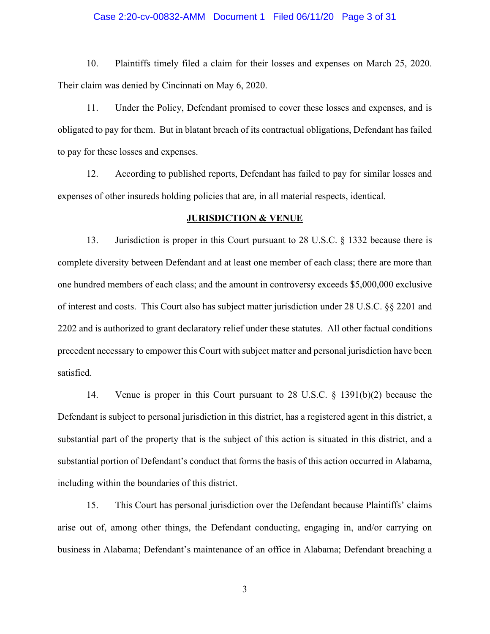### Case 2:20-cv-00832-AMM Document 1 Filed 06/11/20 Page 3 of 31

10. Plaintiffs timely filed a claim for their losses and expenses on March 25, 2020. Their claim was denied by Cincinnati on May 6, 2020.

11. Under the Policy, Defendant promised to cover these losses and expenses, and is obligated to pay for them. But in blatant breach of its contractual obligations, Defendant has failed to pay for these losses and expenses.

12. According to published reports, Defendant has failed to pay for similar losses and expenses of other insureds holding policies that are, in all material respects, identical.

#### **JURISDICTION & VENUE**

13. Jurisdiction is proper in this Court pursuant to 28 U.S.C. § 1332 because there is complete diversity between Defendant and at least one member of each class; there are more than one hundred members of each class; and the amount in controversy exceeds \$5,000,000 exclusive of interest and costs. This Court also has subject matter jurisdiction under 28 U.S.C. §§ 2201 and 2202 and is authorized to grant declaratory relief under these statutes. All other factual conditions precedent necessary to empower this Court with subject matter and personal jurisdiction have been satisfied.

14. Venue is proper in this Court pursuant to 28 U.S.C. § 1391(b)(2) because the Defendant is subject to personal jurisdiction in this district, has a registered agent in this district, a substantial part of the property that is the subject of this action is situated in this district, and a substantial portion of Defendant's conduct that forms the basis of this action occurred in Alabama, including within the boundaries of this district.

15. This Court has personal jurisdiction over the Defendant because Plaintiffs' claims arise out of, among other things, the Defendant conducting, engaging in, and/or carrying on business in Alabama; Defendant's maintenance of an office in Alabama; Defendant breaching a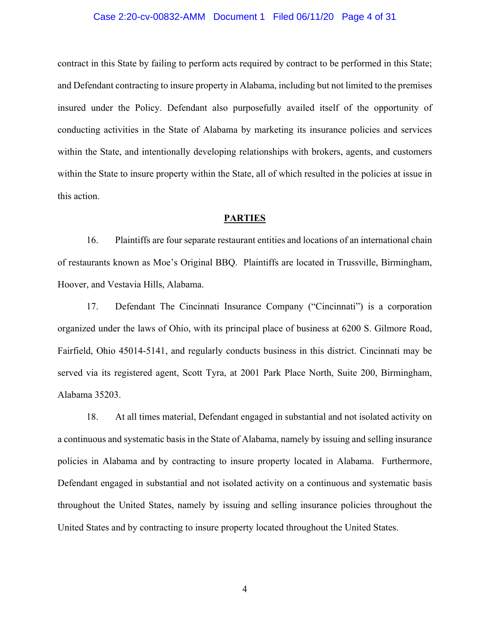### Case 2:20-cv-00832-AMM Document 1 Filed 06/11/20 Page 4 of 31

contract in this State by failing to perform acts required by contract to be performed in this State; and Defendant contracting to insure property in Alabama, including but not limited to the premises insured under the Policy. Defendant also purposefully availed itself of the opportunity of conducting activities in the State of Alabama by marketing its insurance policies and services within the State, and intentionally developing relationships with brokers, agents, and customers within the State to insure property within the State, all of which resulted in the policies at issue in this action.

### **PARTIES**

16. Plaintiffs are four separate restaurant entities and locations of an international chain of restaurants known as Moe's Original BBQ. Plaintiffs are located in Trussville, Birmingham, Hoover, and Vestavia Hills, Alabama.

17. Defendant The Cincinnati Insurance Company ("Cincinnati") is a corporation organized under the laws of Ohio, with its principal place of business at 6200 S. Gilmore Road, Fairfield, Ohio 45014-5141, and regularly conducts business in this district. Cincinnati may be served via its registered agent, Scott Tyra, at 2001 Park Place North, Suite 200, Birmingham, Alabama 35203.

18. At all times material, Defendant engaged in substantial and not isolated activity on a continuous and systematic basis in the State of Alabama, namely by issuing and selling insurance policies in Alabama and by contracting to insure property located in Alabama. Furthermore, Defendant engaged in substantial and not isolated activity on a continuous and systematic basis throughout the United States, namely by issuing and selling insurance policies throughout the United States and by contracting to insure property located throughout the United States.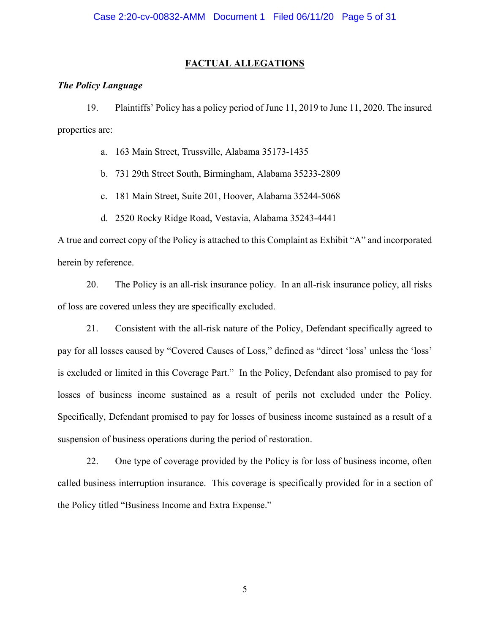### **FACTUAL ALLEGATIONS**

### *The Policy Language*

19. Plaintiffs' Policy has a policy period of June 11, 2019 to June 11, 2020. The insured properties are:

a. 163 Main Street, Trussville, Alabama 35173-1435

b. 731 29th Street South, Birmingham, Alabama 35233-2809

c. 181 Main Street, Suite 201, Hoover, Alabama 35244-5068

d. 2520 Rocky Ridge Road, Vestavia, Alabama 35243-4441

A true and correct copy of the Policy is attached to this Complaint as Exhibit "A" and incorporated herein by reference.

20. The Policy is an all-risk insurance policy. In an all-risk insurance policy, all risks of loss are covered unless they are specifically excluded.

21. Consistent with the all-risk nature of the Policy, Defendant specifically agreed to pay for all losses caused by "Covered Causes of Loss," defined as "direct 'loss' unless the 'loss' is excluded or limited in this Coverage Part." In the Policy, Defendant also promised to pay for losses of business income sustained as a result of perils not excluded under the Policy. Specifically, Defendant promised to pay for losses of business income sustained as a result of a suspension of business operations during the period of restoration.

22. One type of coverage provided by the Policy is for loss of business income, often called business interruption insurance. This coverage is specifically provided for in a section of the Policy titled "Business Income and Extra Expense."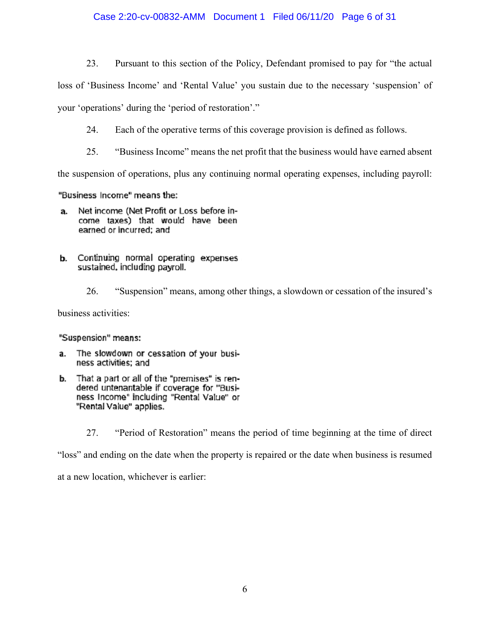## Case 2:20-cv-00832-AMM Document 1 Filed 06/11/20 Page 6 of 31

23. Pursuant to this section of the Policy, Defendant promised to pay for "the actual

loss of 'Business Income' and 'Rental Value' you sustain due to the necessary 'suspension' of your 'operations' during the 'period of restoration'."

24. Each of the operative terms of this coverage provision is defined as follows.

25. "Business Income" means the net profit that the business would have earned absent

the suspension of operations, plus any continuing normal operating expenses, including payroll:

"Business Income" means the:

- Net income (Net Profit or Loss before ina. come taxes) that would have been earned or incurred; and
- **b.** Continuing normal operating expenses sustained, including payroll.
	- 26. "Suspension" means, among other things, a slowdown or cessation of the insured's

business activities:

"Suspension" means:

- The slowdown or cessation of your busia. ness activities; and
- b. That a part or all of the "premises" is rendered untenantable if coverage for "Business Income" including "Rental Value" or "Rental Value" applies.
	- 27. "Period of Restoration" means the period of time beginning at the time of direct

"loss" and ending on the date when the property is repaired or the date when business is resumed

at a new location, whichever is earlier: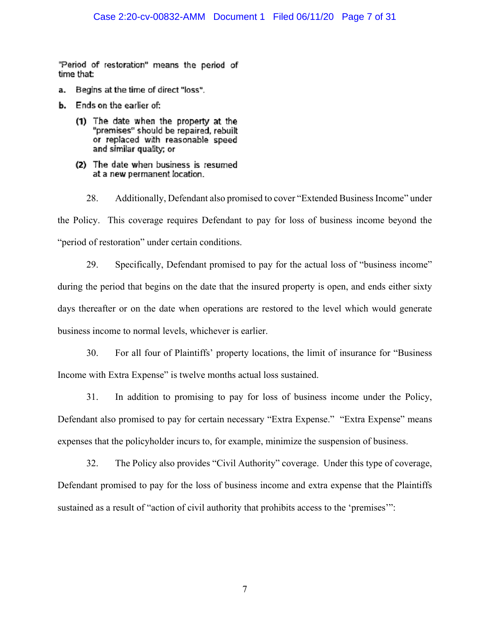"Period of restoration" means the period of time that:

- Begins at the time of direct "loss". a.
- **b.** Ends on the earlier of:
	- (1) The date when the property at the "premises" should be repaired, rebuilt or replaced with reasonable speed and similar quality; or
	- (2) The date when business is resumed at a new permanent location.

28. Additionally, Defendant also promised to cover "Extended Business Income" under the Policy. This coverage requires Defendant to pay for loss of business income beyond the "period of restoration" under certain conditions.

29. Specifically, Defendant promised to pay for the actual loss of "business income" during the period that begins on the date that the insured property is open, and ends either sixty days thereafter or on the date when operations are restored to the level which would generate business income to normal levels, whichever is earlier.

30. For all four of Plaintiffs' property locations, the limit of insurance for "Business Income with Extra Expense" is twelve months actual loss sustained.

31. In addition to promising to pay for loss of business income under the Policy, Defendant also promised to pay for certain necessary "Extra Expense." "Extra Expense" means expenses that the policyholder incurs to, for example, minimize the suspension of business.

32. The Policy also provides "Civil Authority" coverage. Under this type of coverage, Defendant promised to pay for the loss of business income and extra expense that the Plaintiffs sustained as a result of "action of civil authority that prohibits access to the 'premises'":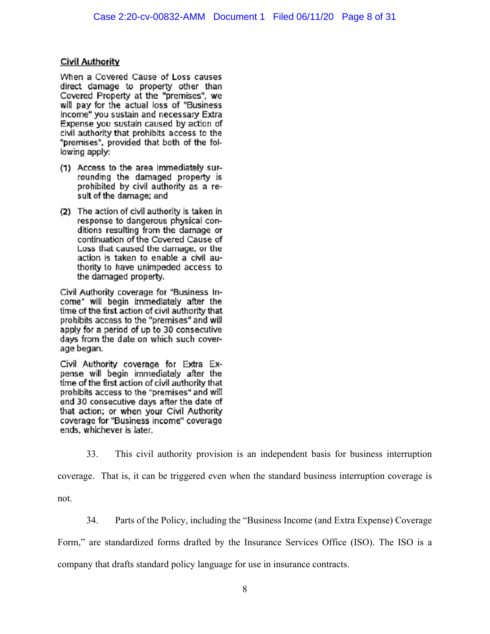# **Civil Authority**

When a Covered Cause of Loss causes direct damage to property other than Covered Property at the "premises", we will pay for the actual loss of "Business Income" you sustain and necessary Extra Expense you sustain caused by action of civil authority that prohibits access to the "premises", provided that both of the following apply:

- (1) Access to the area immediately surrounding the damaged property is prohibited by civil authority as a result of the damage; and
- (2) The action of civil authority is taken in response to dangerous physical conditions resulting from the damage or continuation of the Covered Cause of Loss that caused the damage, or the action is taken to enable a civil authority to have unimpeded access to the damaged property.

Civil Authority coverage for "Business Income" will begin immediately after the time of the first action of civil authority that prohibits access to the "premises" and will apply for a period of up to 30 consecutive days from the date on which such coverage began.

Civil Authority coverage for Extra Expense will begin immediately after the time of the first action of civil authority that prohibits access to the "premises" and will end 30 consecutive days after the date of that action; or when your Civil Authority coverage for "Business income" coverage ends, whichever is later.

33. This civil authority provision is an independent basis for business interruption coverage. That is, it can be triggered even when the standard business interruption coverage is not.

34. Parts of the Policy, including the "Business Income (and Extra Expense) Coverage

Form," are standardized forms drafted by the Insurance Services Office (ISO). The ISO is a

company that drafts standard policy language for use in insurance contracts.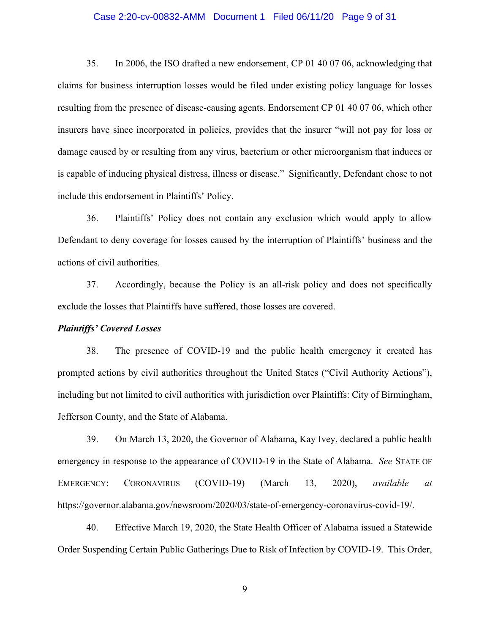### Case 2:20-cv-00832-AMM Document 1 Filed 06/11/20 Page 9 of 31

35. In 2006, the ISO drafted a new endorsement, CP 01 40 07 06, acknowledging that claims for business interruption losses would be filed under existing policy language for losses resulting from the presence of disease-causing agents. Endorsement CP 01 40 07 06, which other insurers have since incorporated in policies, provides that the insurer "will not pay for loss or damage caused by or resulting from any virus, bacterium or other microorganism that induces or is capable of inducing physical distress, illness or disease." Significantly, Defendant chose to not include this endorsement in Plaintiffs' Policy.

36. Plaintiffs' Policy does not contain any exclusion which would apply to allow Defendant to deny coverage for losses caused by the interruption of Plaintiffs' business and the actions of civil authorities.

37. Accordingly, because the Policy is an all-risk policy and does not specifically exclude the losses that Plaintiffs have suffered, those losses are covered.

### *Plaintiffs' Covered Losses*

38. The presence of COVID-19 and the public health emergency it created has prompted actions by civil authorities throughout the United States ("Civil Authority Actions"), including but not limited to civil authorities with jurisdiction over Plaintiffs: City of Birmingham, Jefferson County, and the State of Alabama.

39. On March 13, 2020, the Governor of Alabama, Kay Ivey, declared a public health emergency in response to the appearance of COVID-19 in the State of Alabama. *See* STATE OF EMERGENCY: CORONAVIRUS (COVID-19) (March 13, 2020), *available at* https://governor.alabama.gov/newsroom/2020/03/state-of-emergency-coronavirus-covid-19/.

40. Effective March 19, 2020, the State Health Officer of Alabama issued a Statewide Order Suspending Certain Public Gatherings Due to Risk of Infection by COVID-19. This Order,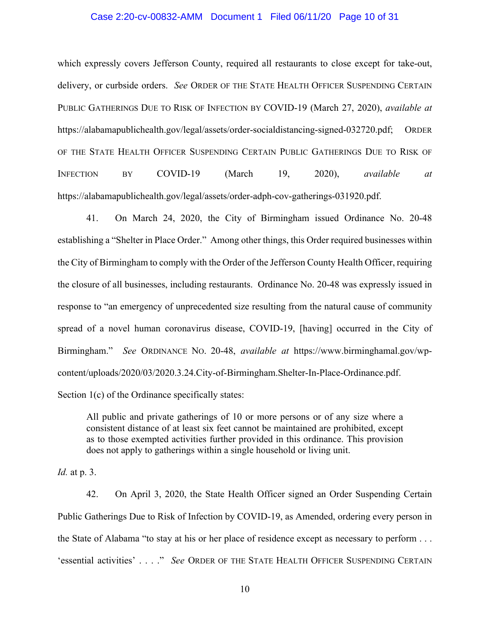#### Case 2:20-cv-00832-AMM Document 1 Filed 06/11/20 Page 10 of 31

which expressly covers Jefferson County, required all restaurants to close except for take-out, delivery, or curbside orders. *See* ORDER OF THE STATE HEALTH OFFICER SUSPENDING CERTAIN PUBLIC GATHERINGS DUE TO RISK OF INFECTION BY COVID-19 (March 27, 2020), *available at*  https://alabamapublichealth.gov/legal/assets/order-socialdistancing-signed-032720.pdf; ORDER OF THE STATE HEALTH OFFICER SUSPENDING CERTAIN PUBLIC GATHERINGS DUE TO RISK OF INFECTION BY COVID-19 (March 19, 2020), *available at* https://alabamapublichealth.gov/legal/assets/order-adph-cov-gatherings-031920.pdf.

41. On March 24, 2020, the City of Birmingham issued Ordinance No. 20-48 establishing a "Shelter in Place Order." Among other things, this Order required businesses within the City of Birmingham to comply with the Order of the Jefferson County Health Officer, requiring the closure of all businesses, including restaurants. Ordinance No. 20-48 was expressly issued in response to "an emergency of unprecedented size resulting from the natural cause of community spread of a novel human coronavirus disease, COVID-19, [having] occurred in the City of Birmingham." *See* ORDINANCE NO. 20-48, *available at* https://www.birminghamal.gov/wpcontent/uploads/2020/03/2020.3.24.City-of-Birmingham.Shelter-In-Place-Ordinance.pdf. Section 1(c) of the Ordinance specifically states:

All public and private gatherings of 10 or more persons or of any size where a consistent distance of at least six feet cannot be maintained are prohibited, except as to those exempted activities further provided in this ordinance. This provision does not apply to gatherings within a single household or living unit.

*Id.* at p. 3.

42. On April 3, 2020, the State Health Officer signed an Order Suspending Certain Public Gatherings Due to Risk of Infection by COVID-19, as Amended, ordering every person in the State of Alabama "to stay at his or her place of residence except as necessary to perform . . . 'essential activities' . . . ." *See* ORDER OF THE STATE HEALTH OFFICER SUSPENDING CERTAIN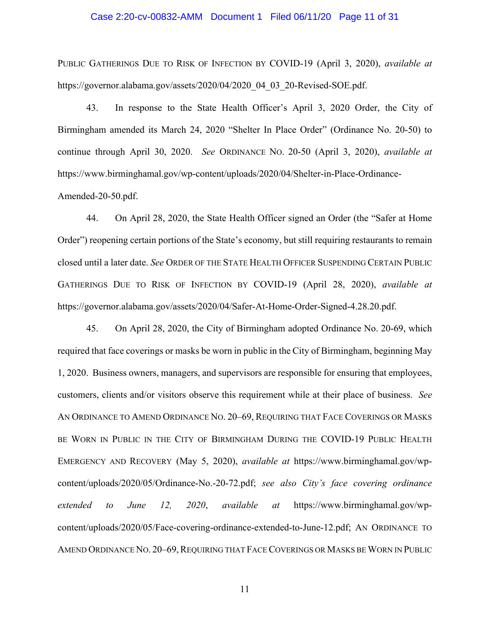### Case 2:20-cv-00832-AMM Document 1 Filed 06/11/20 Page 11 of 31

PUBLIC GATHERINGS DUE TO RISK OF INFECTION BY COVID-19 (April 3, 2020), *available at*  https://governor.alabama.gov/assets/2020/04/2020\_04\_03\_20-Revised-SOE.pdf.

43. In response to the State Health Officer's April 3, 2020 Order, the City of Birmingham amended its March 24, 2020 "Shelter In Place Order" (Ordinance No. 20-50) to continue through April 30, 2020. *See* ORDINANCE NO. 20-50 (April 3, 2020), *available at* https://www.birminghamal.gov/wp-content/uploads/2020/04/Shelter-in-Place-Ordinance-

Amended-20-50.pdf.

44. On April 28, 2020, the State Health Officer signed an Order (the "Safer at Home Order") reopening certain portions of the State's economy, but still requiring restaurants to remain closed until a later date. *See* ORDER OF THE STATE HEALTH OFFICER SUSPENDING CERTAIN PUBLIC GATHERINGS DUE TO RISK OF INFECTION BY COVID-19 (April 28, 2020), *available at*  https://governor.alabama.gov/assets/2020/04/Safer-At-Home-Order-Signed-4.28.20.pdf.

45. On April 28, 2020, the City of Birmingham adopted Ordinance No. 20-69, which required that face coverings or masks be worn in public in the City of Birmingham, beginning May 1, 2020. Business owners, managers, and supervisors are responsible for ensuring that employees, customers, clients and/or visitors observe this requirement while at their place of business. *See*  AN ORDINANCE TO AMEND ORDINANCE NO. 20–69, REQUIRING THAT FACE COVERINGS OR MASKS BE WORN IN PUBLIC IN THE CITY OF BIRMINGHAM DURING THE COVID-19 PUBLIC HEALTH EMERGENCY AND RECOVERY (May 5, 2020), *available at* https://www.birminghamal.gov/wpcontent/uploads/2020/05/Ordinance-No.-20-72.pdf; *see also City's face covering ordinance extended to June 12, 2020*, *available at* https://www.birminghamal.gov/wpcontent/uploads/2020/05/Face-covering-ordinance-extended-to-June-12.pdf; AN ORDINANCE TO AMEND ORDINANCE NO. 20–69, REQUIRING THAT FACE COVERINGS OR MASKS BE WORN IN PUBLIC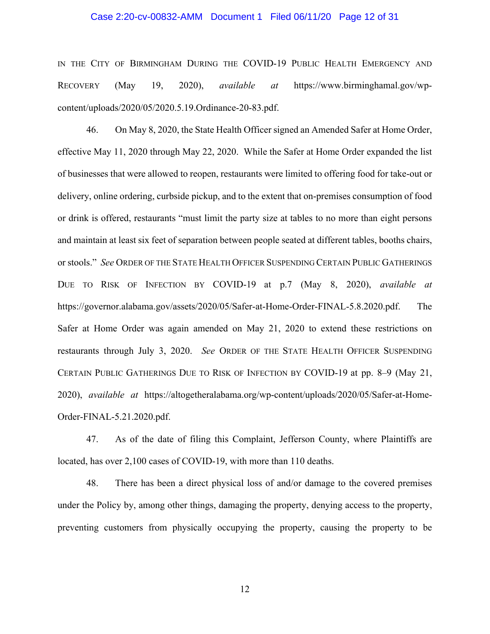#### Case 2:20-cv-00832-AMM Document 1 Filed 06/11/20 Page 12 of 31

IN THE CITY OF BIRMINGHAM DURING THE COVID-19 PUBLIC HEALTH EMERGENCY AND RECOVERY (May 19, 2020), *available at* https://www.birminghamal.gov/wpcontent/uploads/2020/05/2020.5.19.Ordinance-20-83.pdf.

46. On May 8, 2020, the State Health Officer signed an Amended Safer at Home Order, effective May 11, 2020 through May 22, 2020. While the Safer at Home Order expanded the list of businesses that were allowed to reopen, restaurants were limited to offering food for take-out or delivery, online ordering, curbside pickup, and to the extent that on-premises consumption of food or drink is offered, restaurants "must limit the party size at tables to no more than eight persons and maintain at least six feet of separation between people seated at different tables, booths chairs, or stools." *See* ORDER OF THE STATE HEALTH OFFICER SUSPENDING CERTAIN PUBLIC GATHERINGS DUE TO RISK OF INFECTION BY COVID-19 at p.7 (May 8, 2020), *available at*  https://governor.alabama.gov/assets/2020/05/Safer-at-Home-Order-FINAL-5.8.2020.pdf. The Safer at Home Order was again amended on May 21, 2020 to extend these restrictions on restaurants through July 3, 2020. *See* ORDER OF THE STATE HEALTH OFFICER SUSPENDING CERTAIN PUBLIC GATHERINGS DUE TO RISK OF INFECTION BY COVID-19 at pp. 8–9 (May 21, 2020), *available at* https://altogetheralabama.org/wp-content/uploads/2020/05/Safer-at-Home-Order-FINAL-5.21.2020.pdf.

47. As of the date of filing this Complaint, Jefferson County, where Plaintiffs are located, has over 2,100 cases of COVID-19, with more than 110 deaths.

48. There has been a direct physical loss of and/or damage to the covered premises under the Policy by, among other things, damaging the property, denying access to the property, preventing customers from physically occupying the property, causing the property to be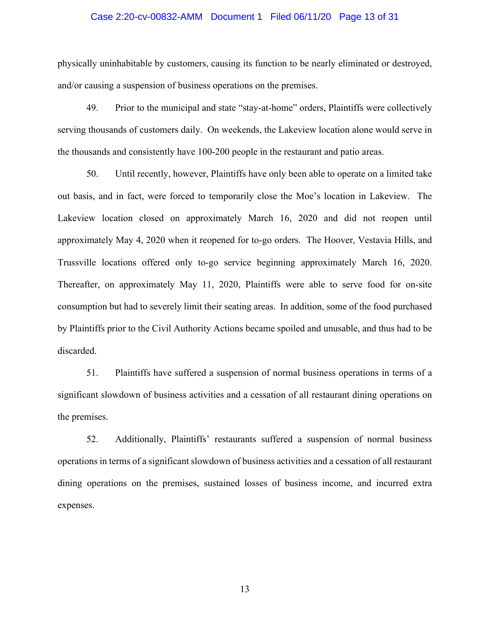#### Case 2:20-cv-00832-AMM Document 1 Filed 06/11/20 Page 13 of 31

physically uninhabitable by customers, causing its function to be nearly eliminated or destroyed, and/or causing a suspension of business operations on the premises.

49. Prior to the municipal and state "stay-at-home" orders, Plaintiffs were collectively serving thousands of customers daily. On weekends, the Lakeview location alone would serve in the thousands and consistently have 100-200 people in the restaurant and patio areas.

50. Until recently, however, Plaintiffs have only been able to operate on a limited take out basis, and in fact, were forced to temporarily close the Moe's location in Lakeview. The Lakeview location closed on approximately March 16, 2020 and did not reopen until approximately May 4, 2020 when it reopened for to-go orders. The Hoover, Vestavia Hills, and Trussville locations offered only to-go service beginning approximately March 16, 2020. Thereafter, on approximately May 11, 2020, Plaintiffs were able to serve food for on-site consumption but had to severely limit their seating areas. In addition, some of the food purchased by Plaintiffs prior to the Civil Authority Actions became spoiled and unusable, and thus had to be discarded.

51. Plaintiffs have suffered a suspension of normal business operations in terms of a significant slowdown of business activities and a cessation of all restaurant dining operations on the premises.

52. Additionally, Plaintiffs' restaurants suffered a suspension of normal business operations in terms of a significant slowdown of business activities and a cessation of all restaurant dining operations on the premises, sustained losses of business income, and incurred extra expenses.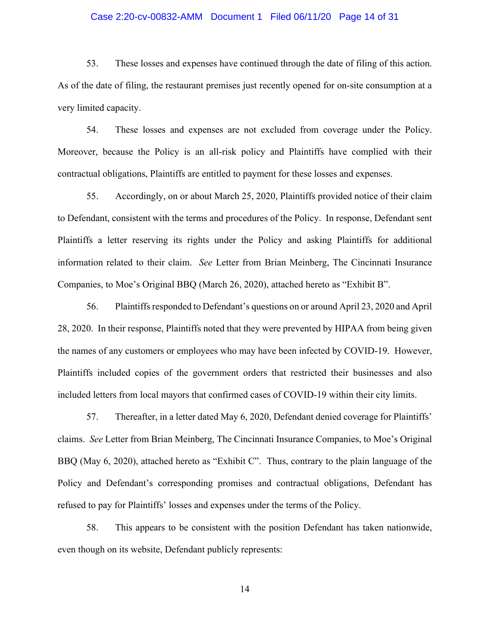### Case 2:20-cv-00832-AMM Document 1 Filed 06/11/20 Page 14 of 31

53. These losses and expenses have continued through the date of filing of this action. As of the date of filing, the restaurant premises just recently opened for on-site consumption at a very limited capacity.

54. These losses and expenses are not excluded from coverage under the Policy. Moreover, because the Policy is an all-risk policy and Plaintiffs have complied with their contractual obligations, Plaintiffs are entitled to payment for these losses and expenses.

55. Accordingly, on or about March 25, 2020, Plaintiffs provided notice of their claim to Defendant, consistent with the terms and procedures of the Policy. In response, Defendant sent Plaintiffs a letter reserving its rights under the Policy and asking Plaintiffs for additional information related to their claim. *See* Letter from Brian Meinberg, The Cincinnati Insurance Companies, to Moe's Original BBQ (March 26, 2020), attached hereto as "Exhibit B".

56. Plaintiffs responded to Defendant's questions on or around April 23, 2020 and April 28, 2020. In their response, Plaintiffs noted that they were prevented by HIPAA from being given the names of any customers or employees who may have been infected by COVID-19. However, Plaintiffs included copies of the government orders that restricted their businesses and also included letters from local mayors that confirmed cases of COVID-19 within their city limits.

57. Thereafter, in a letter dated May 6, 2020, Defendant denied coverage for Plaintiffs' claims. *See* Letter from Brian Meinberg, The Cincinnati Insurance Companies, to Moe's Original BBQ (May 6, 2020), attached hereto as "Exhibit C". Thus, contrary to the plain language of the Policy and Defendant's corresponding promises and contractual obligations, Defendant has refused to pay for Plaintiffs' losses and expenses under the terms of the Policy.

58. This appears to be consistent with the position Defendant has taken nationwide, even though on its website, Defendant publicly represents: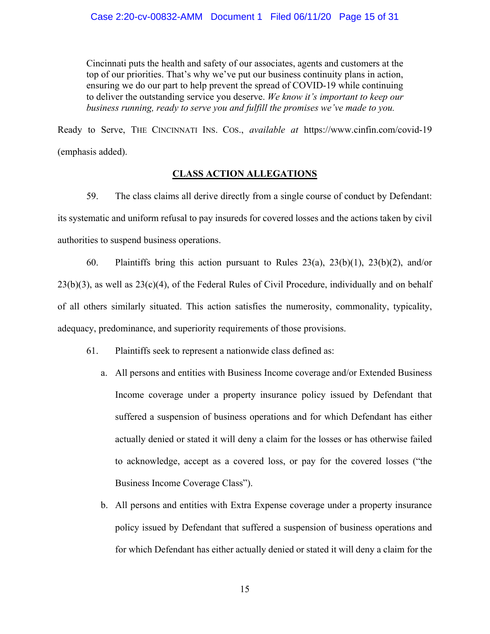Cincinnati puts the health and safety of our associates, agents and customers at the top of our priorities. That's why we've put our business continuity plans in action, ensuring we do our part to help prevent the spread of COVID-19 while continuing to deliver the outstanding service you deserve. *We know it's important to keep our business running, ready to serve you and fulfill the promises we've made to you.*

Ready to Serve, THE CINCINNATI INS. COS., *available at* https://www.cinfin.com/covid-19 (emphasis added).

## **CLASS ACTION ALLEGATIONS**

59. The class claims all derive directly from a single course of conduct by Defendant: its systematic and uniform refusal to pay insureds for covered losses and the actions taken by civil authorities to suspend business operations.

60. Plaintiffs bring this action pursuant to Rules 23(a), 23(b)(1), 23(b)(2), and/or 23(b)(3), as well as 23(c)(4), of the Federal Rules of Civil Procedure, individually and on behalf of all others similarly situated. This action satisfies the numerosity, commonality, typicality, adequacy, predominance, and superiority requirements of those provisions.

- 61. Plaintiffs seek to represent a nationwide class defined as:
	- a. All persons and entities with Business Income coverage and/or Extended Business Income coverage under a property insurance policy issued by Defendant that suffered a suspension of business operations and for which Defendant has either actually denied or stated it will deny a claim for the losses or has otherwise failed to acknowledge, accept as a covered loss, or pay for the covered losses ("the Business Income Coverage Class").
	- b. All persons and entities with Extra Expense coverage under a property insurance policy issued by Defendant that suffered a suspension of business operations and for which Defendant has either actually denied or stated it will deny a claim for the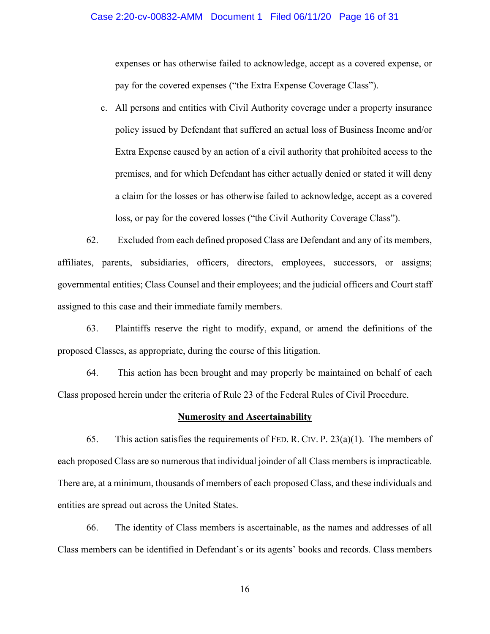#### Case 2:20-cv-00832-AMM Document 1 Filed 06/11/20 Page 16 of 31

expenses or has otherwise failed to acknowledge, accept as a covered expense, or pay for the covered expenses ("the Extra Expense Coverage Class").

c. All persons and entities with Civil Authority coverage under a property insurance policy issued by Defendant that suffered an actual loss of Business Income and/or Extra Expense caused by an action of a civil authority that prohibited access to the premises, and for which Defendant has either actually denied or stated it will deny a claim for the losses or has otherwise failed to acknowledge, accept as a covered loss, or pay for the covered losses ("the Civil Authority Coverage Class").

62. Excluded from each defined proposed Class are Defendant and any of its members, affiliates, parents, subsidiaries, officers, directors, employees, successors, or assigns; governmental entities; Class Counsel and their employees; and the judicial officers and Court staff assigned to this case and their immediate family members.

63. Plaintiffs reserve the right to modify, expand, or amend the definitions of the proposed Classes, as appropriate, during the course of this litigation.

64. This action has been brought and may properly be maintained on behalf of each Class proposed herein under the criteria of Rule 23 of the Federal Rules of Civil Procedure.

### **Numerosity and Ascertainability**

65. This action satisfies the requirements of FED. R. CIV. P.  $23(a)(1)$ . The members of each proposed Class are so numerous that individual joinder of all Class members is impracticable. There are, at a minimum, thousands of members of each proposed Class, and these individuals and entities are spread out across the United States.

66. The identity of Class members is ascertainable, as the names and addresses of all Class members can be identified in Defendant's or its agents' books and records. Class members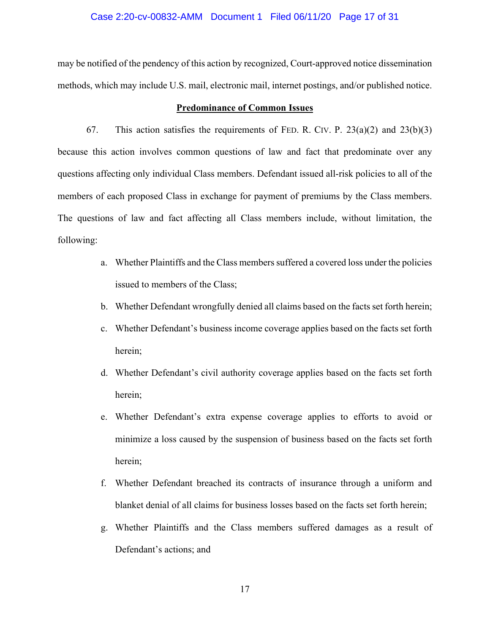#### Case 2:20-cv-00832-AMM Document 1 Filed 06/11/20 Page 17 of 31

may be notified of the pendency of this action by recognized, Court-approved notice dissemination methods, which may include U.S. mail, electronic mail, internet postings, and/or published notice.

### **Predominance of Common Issues**

67. This action satisfies the requirements of FED. R. CIV. P.  $23(a)(2)$  and  $23(b)(3)$ because this action involves common questions of law and fact that predominate over any questions affecting only individual Class members. Defendant issued all-risk policies to all of the members of each proposed Class in exchange for payment of premiums by the Class members. The questions of law and fact affecting all Class members include, without limitation, the following:

- a. Whether Plaintiffs and the Class members suffered a covered loss under the policies issued to members of the Class;
- b. Whether Defendant wrongfully denied all claims based on the facts set forth herein;
- c. Whether Defendant's business income coverage applies based on the facts set forth herein;
- d. Whether Defendant's civil authority coverage applies based on the facts set forth herein;
- e. Whether Defendant's extra expense coverage applies to efforts to avoid or minimize a loss caused by the suspension of business based on the facts set forth herein;
- f. Whether Defendant breached its contracts of insurance through a uniform and blanket denial of all claims for business losses based on the facts set forth herein;
- g. Whether Plaintiffs and the Class members suffered damages as a result of Defendant's actions; and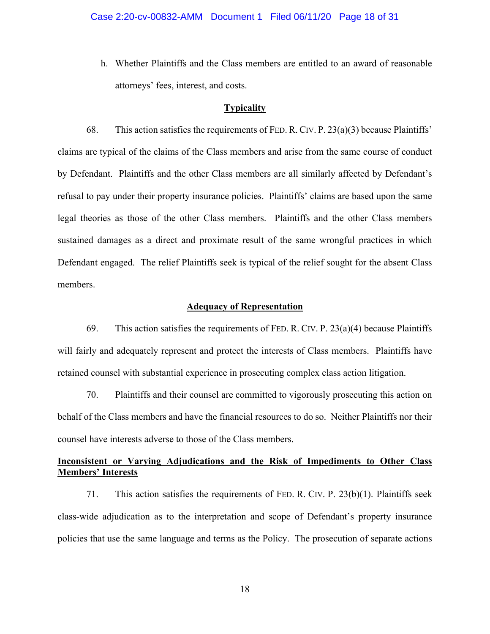h. Whether Plaintiffs and the Class members are entitled to an award of reasonable attorneys' fees, interest, and costs.

### **Typicality**

68. This action satisfies the requirements of FED. R. CIV. P. 23(a)(3) because Plaintiffs' claims are typical of the claims of the Class members and arise from the same course of conduct by Defendant. Plaintiffs and the other Class members are all similarly affected by Defendant's refusal to pay under their property insurance policies. Plaintiffs' claims are based upon the same legal theories as those of the other Class members. Plaintiffs and the other Class members sustained damages as a direct and proximate result of the same wrongful practices in which Defendant engaged. The relief Plaintiffs seek is typical of the relief sought for the absent Class members.

### **Adequacy of Representation**

69. This action satisfies the requirements of FED. R. CIV. P.  $23(a)(4)$  because Plaintiffs will fairly and adequately represent and protect the interests of Class members. Plaintiffs have retained counsel with substantial experience in prosecuting complex class action litigation.

70. Plaintiffs and their counsel are committed to vigorously prosecuting this action on behalf of the Class members and have the financial resources to do so. Neither Plaintiffs nor their counsel have interests adverse to those of the Class members.

## **Inconsistent or Varying Adjudications and the Risk of Impediments to Other Class Members' Interests**

71. This action satisfies the requirements of FED. R. CIV. P. 23(b)(1). Plaintiffs seek class-wide adjudication as to the interpretation and scope of Defendant's property insurance policies that use the same language and terms as the Policy. The prosecution of separate actions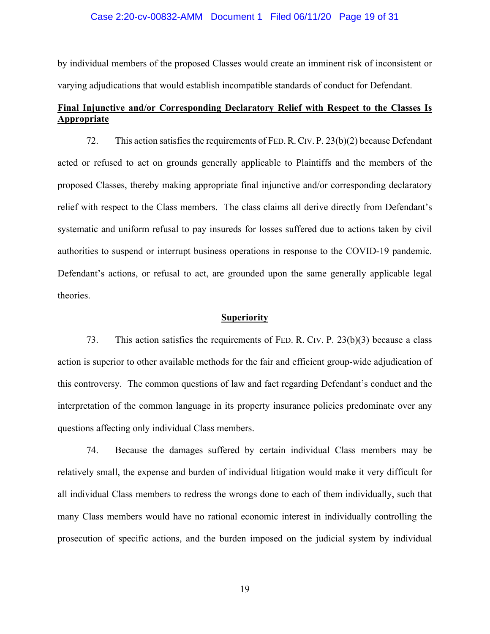#### Case 2:20-cv-00832-AMM Document 1 Filed 06/11/20 Page 19 of 31

by individual members of the proposed Classes would create an imminent risk of inconsistent or varying adjudications that would establish incompatible standards of conduct for Defendant.

## **Final Injunctive and/or Corresponding Declaratory Relief with Respect to the Classes Is Appropriate**

72. This action satisfies the requirements of FED.R.CIV. P. 23(b)(2) because Defendant acted or refused to act on grounds generally applicable to Plaintiffs and the members of the proposed Classes, thereby making appropriate final injunctive and/or corresponding declaratory relief with respect to the Class members. The class claims all derive directly from Defendant's systematic and uniform refusal to pay insureds for losses suffered due to actions taken by civil authorities to suspend or interrupt business operations in response to the COVID-19 pandemic. Defendant's actions, or refusal to act, are grounded upon the same generally applicable legal theories.

#### **Superiority**

73. This action satisfies the requirements of FED. R. CIV. P. 23(b)(3) because a class action is superior to other available methods for the fair and efficient group-wide adjudication of this controversy. The common questions of law and fact regarding Defendant's conduct and the interpretation of the common language in its property insurance policies predominate over any questions affecting only individual Class members.

74. Because the damages suffered by certain individual Class members may be relatively small, the expense and burden of individual litigation would make it very difficult for all individual Class members to redress the wrongs done to each of them individually, such that many Class members would have no rational economic interest in individually controlling the prosecution of specific actions, and the burden imposed on the judicial system by individual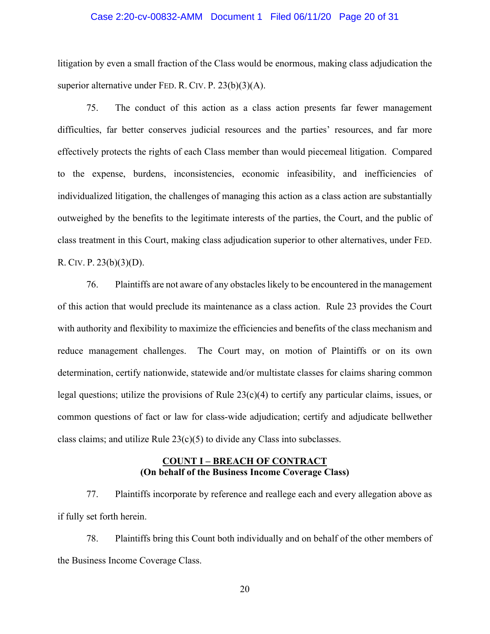#### Case 2:20-cv-00832-AMM Document 1 Filed 06/11/20 Page 20 of 31

litigation by even a small fraction of the Class would be enormous, making class adjudication the superior alternative under FED. R. CIV. P. 23(b)(3)(A).

75. The conduct of this action as a class action presents far fewer management difficulties, far better conserves judicial resources and the parties' resources, and far more effectively protects the rights of each Class member than would piecemeal litigation. Compared to the expense, burdens, inconsistencies, economic infeasibility, and inefficiencies of individualized litigation, the challenges of managing this action as a class action are substantially outweighed by the benefits to the legitimate interests of the parties, the Court, and the public of class treatment in this Court, making class adjudication superior to other alternatives, under FED. R. CIV. P. 23(b)(3)(D).

76. Plaintiffs are not aware of any obstacles likely to be encountered in the management of this action that would preclude its maintenance as a class action. Rule 23 provides the Court with authority and flexibility to maximize the efficiencies and benefits of the class mechanism and reduce management challenges. The Court may, on motion of Plaintiffs or on its own determination, certify nationwide, statewide and/or multistate classes for claims sharing common legal questions; utilize the provisions of Rule  $23(c)(4)$  to certify any particular claims, issues, or common questions of fact or law for class-wide adjudication; certify and adjudicate bellwether class claims; and utilize Rule  $23(c)(5)$  to divide any Class into subclasses.

### **COUNT I – BREACH OF CONTRACT (On behalf of the Business Income Coverage Class)**

77. Plaintiffs incorporate by reference and reallege each and every allegation above as if fully set forth herein.

78. Plaintiffs bring this Count both individually and on behalf of the other members of the Business Income Coverage Class.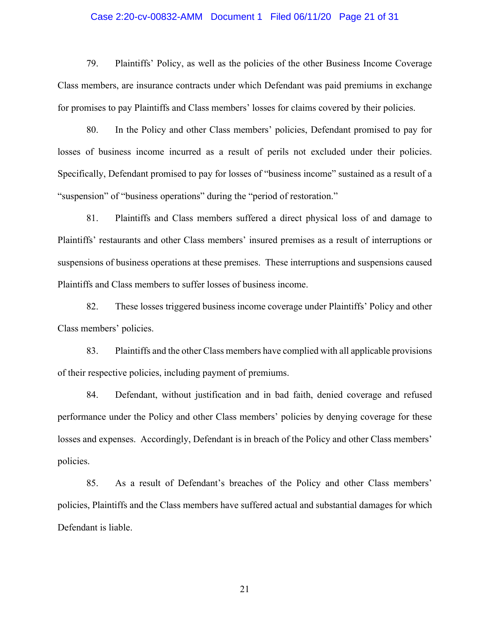### Case 2:20-cv-00832-AMM Document 1 Filed 06/11/20 Page 21 of 31

79. Plaintiffs' Policy, as well as the policies of the other Business Income Coverage Class members, are insurance contracts under which Defendant was paid premiums in exchange for promises to pay Plaintiffs and Class members' losses for claims covered by their policies.

80. In the Policy and other Class members' policies, Defendant promised to pay for losses of business income incurred as a result of perils not excluded under their policies. Specifically, Defendant promised to pay for losses of "business income" sustained as a result of a "suspension" of "business operations" during the "period of restoration."

81. Plaintiffs and Class members suffered a direct physical loss of and damage to Plaintiffs' restaurants and other Class members' insured premises as a result of interruptions or suspensions of business operations at these premises. These interruptions and suspensions caused Plaintiffs and Class members to suffer losses of business income.

82. These losses triggered business income coverage under Plaintiffs' Policy and other Class members' policies.

83. Plaintiffs and the other Class members have complied with all applicable provisions of their respective policies, including payment of premiums.

84. Defendant, without justification and in bad faith, denied coverage and refused performance under the Policy and other Class members' policies by denying coverage for these losses and expenses. Accordingly, Defendant is in breach of the Policy and other Class members' policies.

85. As a result of Defendant's breaches of the Policy and other Class members' policies, Plaintiffs and the Class members have suffered actual and substantial damages for which Defendant is liable.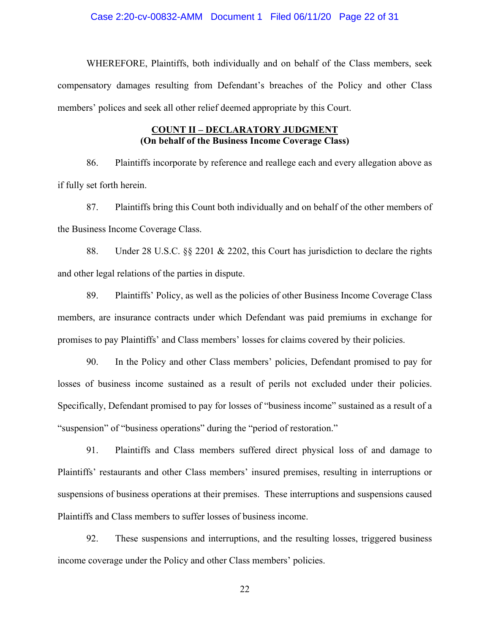### Case 2:20-cv-00832-AMM Document 1 Filed 06/11/20 Page 22 of 31

 WHEREFORE, Plaintiffs, both individually and on behalf of the Class members, seek compensatory damages resulting from Defendant's breaches of the Policy and other Class members' polices and seek all other relief deemed appropriate by this Court.

## **COUNT II – DECLARATORY JUDGMENT (On behalf of the Business Income Coverage Class)**

86. Plaintiffs incorporate by reference and reallege each and every allegation above as if fully set forth herein.

87. Plaintiffs bring this Count both individually and on behalf of the other members of the Business Income Coverage Class.

88. Under 28 U.S.C. §§ 2201 & 2202, this Court has jurisdiction to declare the rights and other legal relations of the parties in dispute.

89. Plaintiffs' Policy, as well as the policies of other Business Income Coverage Class members, are insurance contracts under which Defendant was paid premiums in exchange for promises to pay Plaintiffs' and Class members' losses for claims covered by their policies.

90. In the Policy and other Class members' policies, Defendant promised to pay for losses of business income sustained as a result of perils not excluded under their policies. Specifically, Defendant promised to pay for losses of "business income" sustained as a result of a "suspension" of "business operations" during the "period of restoration."

91. Plaintiffs and Class members suffered direct physical loss of and damage to Plaintiffs' restaurants and other Class members' insured premises, resulting in interruptions or suspensions of business operations at their premises. These interruptions and suspensions caused Plaintiffs and Class members to suffer losses of business income.

92. These suspensions and interruptions, and the resulting losses, triggered business income coverage under the Policy and other Class members' policies.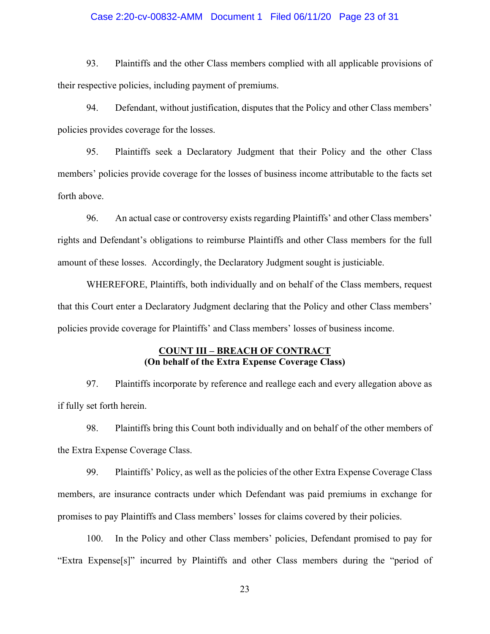### Case 2:20-cv-00832-AMM Document 1 Filed 06/11/20 Page 23 of 31

93. Plaintiffs and the other Class members complied with all applicable provisions of their respective policies, including payment of premiums.

94. Defendant, without justification, disputes that the Policy and other Class members' policies provides coverage for the losses.

95. Plaintiffs seek a Declaratory Judgment that their Policy and the other Class members' policies provide coverage for the losses of business income attributable to the facts set forth above.

96. An actual case or controversy exists regarding Plaintiffs' and other Class members' rights and Defendant's obligations to reimburse Plaintiffs and other Class members for the full amount of these losses. Accordingly, the Declaratory Judgment sought is justiciable.

 WHEREFORE, Plaintiffs, both individually and on behalf of the Class members, request that this Court enter a Declaratory Judgment declaring that the Policy and other Class members' policies provide coverage for Plaintiffs' and Class members' losses of business income.

### **COUNT III – BREACH OF CONTRACT (On behalf of the Extra Expense Coverage Class)**

97. Plaintiffs incorporate by reference and reallege each and every allegation above as if fully set forth herein.

98. Plaintiffs bring this Count both individually and on behalf of the other members of the Extra Expense Coverage Class.

99. Plaintiffs' Policy, as well as the policies of the other Extra Expense Coverage Class members, are insurance contracts under which Defendant was paid premiums in exchange for promises to pay Plaintiffs and Class members' losses for claims covered by their policies.

100. In the Policy and other Class members' policies, Defendant promised to pay for "Extra Expense[s]" incurred by Plaintiffs and other Class members during the "period of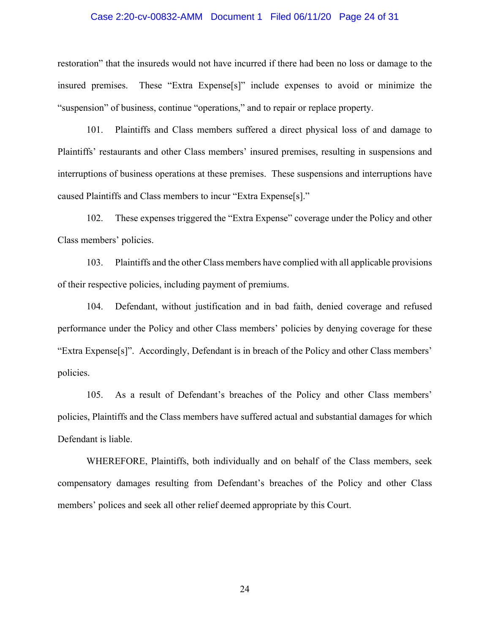#### Case 2:20-cv-00832-AMM Document 1 Filed 06/11/20 Page 24 of 31

restoration" that the insureds would not have incurred if there had been no loss or damage to the insured premises. These "Extra Expense[s]" include expenses to avoid or minimize the "suspension" of business, continue "operations," and to repair or replace property.

101. Plaintiffs and Class members suffered a direct physical loss of and damage to Plaintiffs' restaurants and other Class members' insured premises, resulting in suspensions and interruptions of business operations at these premises. These suspensions and interruptions have caused Plaintiffs and Class members to incur "Extra Expense[s]."

102. These expenses triggered the "Extra Expense" coverage under the Policy and other Class members' policies.

103. Plaintiffs and the other Class members have complied with all applicable provisions of their respective policies, including payment of premiums.

104. Defendant, without justification and in bad faith, denied coverage and refused performance under the Policy and other Class members' policies by denying coverage for these "Extra Expense[s]". Accordingly, Defendant is in breach of the Policy and other Class members' policies.

105. As a result of Defendant's breaches of the Policy and other Class members' policies, Plaintiffs and the Class members have suffered actual and substantial damages for which Defendant is liable.

 WHEREFORE, Plaintiffs, both individually and on behalf of the Class members, seek compensatory damages resulting from Defendant's breaches of the Policy and other Class members' polices and seek all other relief deemed appropriate by this Court.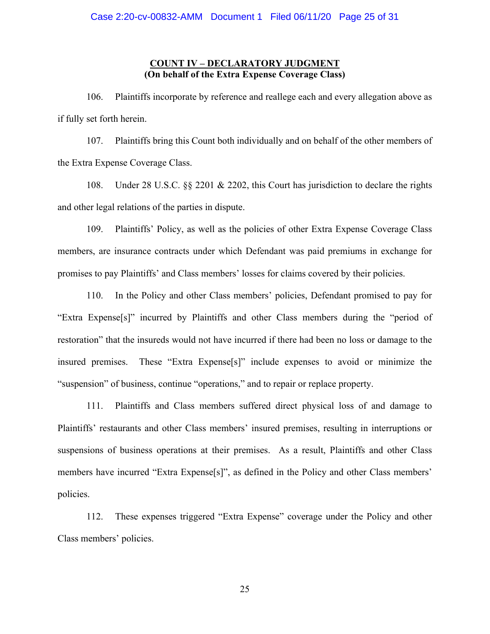## **COUNT IV – DECLARATORY JUDGMENT (On behalf of the Extra Expense Coverage Class)**

106. Plaintiffs incorporate by reference and reallege each and every allegation above as if fully set forth herein.

107. Plaintiffs bring this Count both individually and on behalf of the other members of the Extra Expense Coverage Class.

108. Under 28 U.S.C. §§ 2201 & 2202, this Court has jurisdiction to declare the rights and other legal relations of the parties in dispute.

109. Plaintiffs' Policy, as well as the policies of other Extra Expense Coverage Class members, are insurance contracts under which Defendant was paid premiums in exchange for promises to pay Plaintiffs' and Class members' losses for claims covered by their policies.

110. In the Policy and other Class members' policies, Defendant promised to pay for "Extra Expense[s]" incurred by Plaintiffs and other Class members during the "period of restoration" that the insureds would not have incurred if there had been no loss or damage to the insured premises. These "Extra Expense[s]" include expenses to avoid or minimize the "suspension" of business, continue "operations," and to repair or replace property.

111. Plaintiffs and Class members suffered direct physical loss of and damage to Plaintiffs' restaurants and other Class members' insured premises, resulting in interruptions or suspensions of business operations at their premises. As a result, Plaintiffs and other Class members have incurred "Extra Expense[s]", as defined in the Policy and other Class members' policies.

112. These expenses triggered "Extra Expense" coverage under the Policy and other Class members' policies.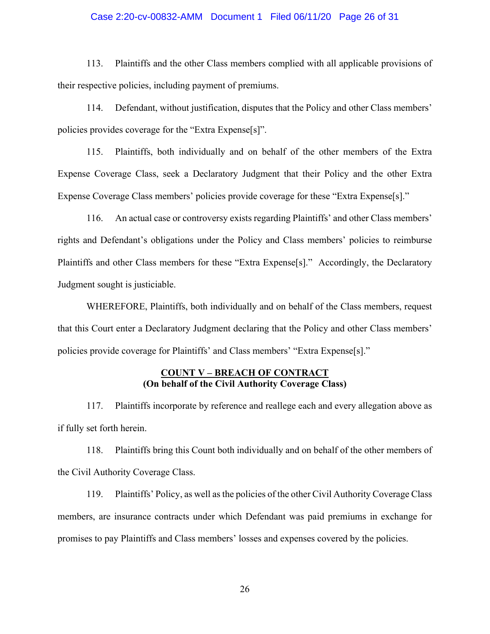### Case 2:20-cv-00832-AMM Document 1 Filed 06/11/20 Page 26 of 31

113. Plaintiffs and the other Class members complied with all applicable provisions of their respective policies, including payment of premiums.

114. Defendant, without justification, disputes that the Policy and other Class members' policies provides coverage for the "Extra Expense[s]".

115. Plaintiffs, both individually and on behalf of the other members of the Extra Expense Coverage Class, seek a Declaratory Judgment that their Policy and the other Extra Expense Coverage Class members' policies provide coverage for these "Extra Expense[s]."

116. An actual case or controversy exists regarding Plaintiffs' and other Class members' rights and Defendant's obligations under the Policy and Class members' policies to reimburse Plaintiffs and other Class members for these "Extra Expense[s]." Accordingly, the Declaratory Judgment sought is justiciable.

 WHEREFORE, Plaintiffs, both individually and on behalf of the Class members, request that this Court enter a Declaratory Judgment declaring that the Policy and other Class members' policies provide coverage for Plaintiffs' and Class members' "Extra Expense[s]."

### **COUNT V – BREACH OF CONTRACT (On behalf of the Civil Authority Coverage Class)**

117. Plaintiffs incorporate by reference and reallege each and every allegation above as if fully set forth herein.

118. Plaintiffs bring this Count both individually and on behalf of the other members of the Civil Authority Coverage Class.

119. Plaintiffs' Policy, as well as the policies of the other Civil Authority Coverage Class members, are insurance contracts under which Defendant was paid premiums in exchange for promises to pay Plaintiffs and Class members' losses and expenses covered by the policies.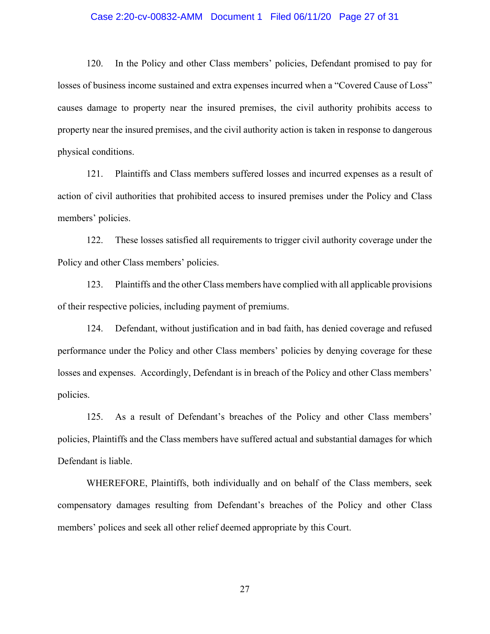### Case 2:20-cv-00832-AMM Document 1 Filed 06/11/20 Page 27 of 31

120. In the Policy and other Class members' policies, Defendant promised to pay for losses of business income sustained and extra expenses incurred when a "Covered Cause of Loss" causes damage to property near the insured premises, the civil authority prohibits access to property near the insured premises, and the civil authority action is taken in response to dangerous physical conditions.

121. Plaintiffs and Class members suffered losses and incurred expenses as a result of action of civil authorities that prohibited access to insured premises under the Policy and Class members' policies.

122. These losses satisfied all requirements to trigger civil authority coverage under the Policy and other Class members' policies.

123. Plaintiffs and the other Class members have complied with all applicable provisions of their respective policies, including payment of premiums.

124. Defendant, without justification and in bad faith, has denied coverage and refused performance under the Policy and other Class members' policies by denying coverage for these losses and expenses. Accordingly, Defendant is in breach of the Policy and other Class members' policies.

125. As a result of Defendant's breaches of the Policy and other Class members' policies, Plaintiffs and the Class members have suffered actual and substantial damages for which Defendant is liable.

 WHEREFORE, Plaintiffs, both individually and on behalf of the Class members, seek compensatory damages resulting from Defendant's breaches of the Policy and other Class members' polices and seek all other relief deemed appropriate by this Court.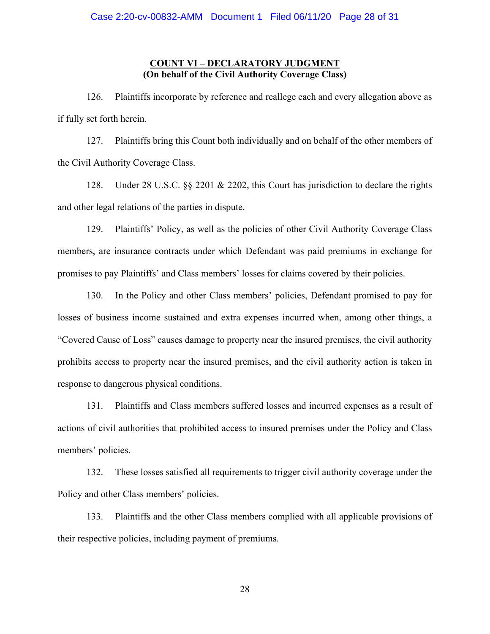### **COUNT VI – DECLARATORY JUDGMENT (On behalf of the Civil Authority Coverage Class)**

126. Plaintiffs incorporate by reference and reallege each and every allegation above as if fully set forth herein.

127. Plaintiffs bring this Count both individually and on behalf of the other members of the Civil Authority Coverage Class.

128. Under 28 U.S.C. §§ 2201 & 2202, this Court has jurisdiction to declare the rights and other legal relations of the parties in dispute.

129. Plaintiffs' Policy, as well as the policies of other Civil Authority Coverage Class members, are insurance contracts under which Defendant was paid premiums in exchange for promises to pay Plaintiffs' and Class members' losses for claims covered by their policies.

130. In the Policy and other Class members' policies, Defendant promised to pay for losses of business income sustained and extra expenses incurred when, among other things, a "Covered Cause of Loss" causes damage to property near the insured premises, the civil authority prohibits access to property near the insured premises, and the civil authority action is taken in response to dangerous physical conditions.

131. Plaintiffs and Class members suffered losses and incurred expenses as a result of actions of civil authorities that prohibited access to insured premises under the Policy and Class members' policies.

132. These losses satisfied all requirements to trigger civil authority coverage under the Policy and other Class members' policies.

133. Plaintiffs and the other Class members complied with all applicable provisions of their respective policies, including payment of premiums.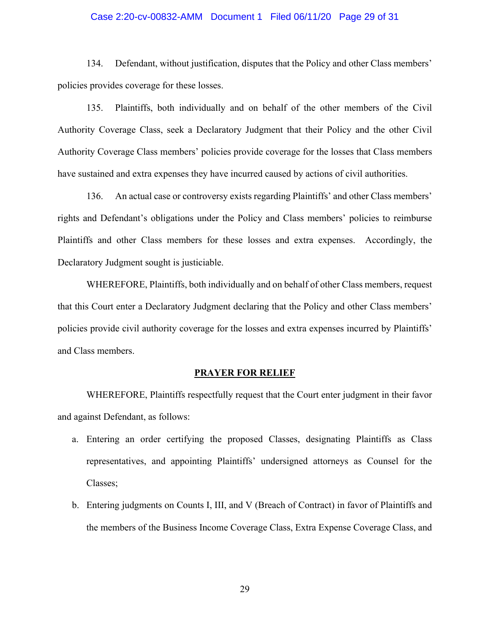#### Case 2:20-cv-00832-AMM Document 1 Filed 06/11/20 Page 29 of 31

134. Defendant, without justification, disputes that the Policy and other Class members' policies provides coverage for these losses.

135. Plaintiffs, both individually and on behalf of the other members of the Civil Authority Coverage Class, seek a Declaratory Judgment that their Policy and the other Civil Authority Coverage Class members' policies provide coverage for the losses that Class members have sustained and extra expenses they have incurred caused by actions of civil authorities.

136. An actual case or controversy exists regarding Plaintiffs' and other Class members' rights and Defendant's obligations under the Policy and Class members' policies to reimburse Plaintiffs and other Class members for these losses and extra expenses. Accordingly, the Declaratory Judgment sought is justiciable.

 WHEREFORE, Plaintiffs, both individually and on behalf of other Class members, request that this Court enter a Declaratory Judgment declaring that the Policy and other Class members' policies provide civil authority coverage for the losses and extra expenses incurred by Plaintiffs' and Class members.

#### **PRAYER FOR RELIEF**

 WHEREFORE, Plaintiffs respectfully request that the Court enter judgment in their favor and against Defendant, as follows:

- a. Entering an order certifying the proposed Classes, designating Plaintiffs as Class representatives, and appointing Plaintiffs' undersigned attorneys as Counsel for the Classes;
- b. Entering judgments on Counts I, III, and V (Breach of Contract) in favor of Plaintiffs and the members of the Business Income Coverage Class, Extra Expense Coverage Class, and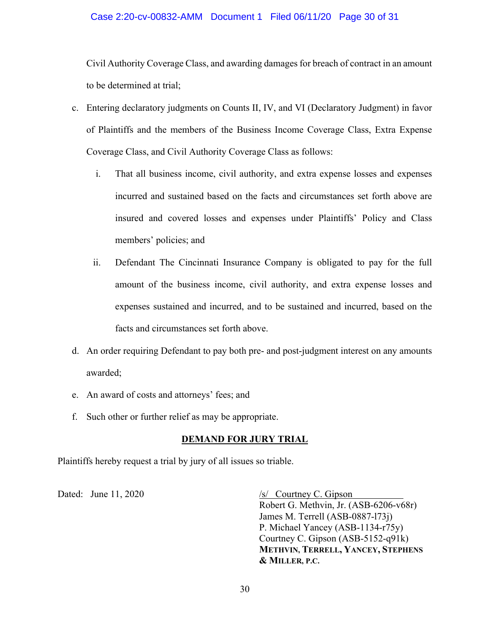### Case 2:20-cv-00832-AMM Document 1 Filed 06/11/20 Page 30 of 31

Civil Authority Coverage Class, and awarding damages for breach of contract in an amount to be determined at trial;

- c. Entering declaratory judgments on Counts II, IV, and VI (Declaratory Judgment) in favor of Plaintiffs and the members of the Business Income Coverage Class, Extra Expense Coverage Class, and Civil Authority Coverage Class as follows:
	- i. That all business income, civil authority, and extra expense losses and expenses incurred and sustained based on the facts and circumstances set forth above are insured and covered losses and expenses under Plaintiffs' Policy and Class members' policies; and
	- ii. Defendant The Cincinnati Insurance Company is obligated to pay for the full amount of the business income, civil authority, and extra expense losses and expenses sustained and incurred, and to be sustained and incurred, based on the facts and circumstances set forth above.
- d. An order requiring Defendant to pay both pre- and post-judgment interest on any amounts awarded;
- e. An award of costs and attorneys' fees; and
- f. Such other or further relief as may be appropriate.

## **DEMAND FOR JURY TRIAL**

Plaintiffs hereby request a trial by jury of all issues so triable.

Dated: June 11, 2020<br> */s/ Courtney C. Gipson*  Robert G. Methvin, Jr. (ASB-6206-v68r) James M. Terrell (ASB-0887-l73j) P. Michael Yancey (ASB-1134-r75y) Courtney C. Gipson (ASB-5152-q91k) **METHVIN, TERRELL, YANCEY, STEPHENS & MILLER, P.C.**